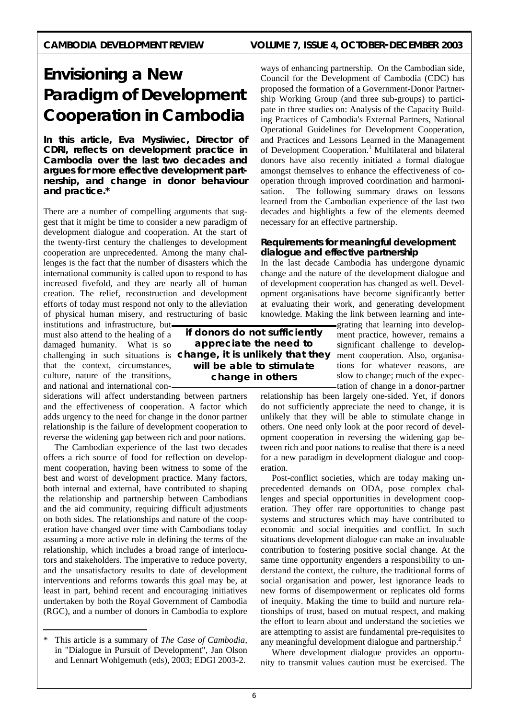## CAMBODIA DEVELOPMENT REVIEW VOLUME 7, ISSUE 4, OCTOBER-DECEMBER 2003

# **Envisioning a New Paradigm of Development Cooperation in Cambodia**

**In this article, Eva Mysliwiec, Director of CDRI, reflects on development practice in Cambodia over the last two decades and argues for more effective development partnership, and change in donor behaviour and practice.\*** 

There are a number of compelling arguments that suggest that it might be time to consider a new paradigm of development dialogue and cooperation. At the start of the twenty-first century the challenges to development cooperation are unprecedented. Among the many challenges is the fact that the number of disasters which the international community is called upon to respond to has increased fivefold, and they are nearly all of human creation. The relief, reconstruction and development efforts of today must respond not only to the alleviation of physical human misery, and restructuring of basic

institutions and infrastructure, but must also attend to the healing of a damaged humanity. What is so that the context, circumstances, culture, nature of the transitions, and national and international con-

siderations will affect understanding between partners and the effectiveness of cooperation. A factor which adds urgency to the need for change in the donor partner relationship is the failure of development cooperation to reverse the widening gap between rich and poor nations.

 The Cambodian experience of the last two decades offers a rich source of food for reflection on development cooperation, having been witness to some of the best and worst of development practice. Many factors, both internal and external, have contributed to shaping the relationship and partnership between Cambodians and the aid community, requiring difficult adjustments on both sides. The relationships and nature of the cooperation have changed over time with Cambodians today assuming a more active role in defining the terms of the relationship, which includes a broad range of interlocutors and stakeholders. The imperative to reduce poverty, and the unsatisfactory results to date of development interventions and reforms towards this goal may be, at least in part, behind recent and encouraging initiatives undertaken by both the Royal Government of Cambodia (RGC), and a number of donors in Cambodia to explore

\* This article is a summary of *The Case of Cambodia,* in "Dialogue in Pursuit of Development", Jan Olson and Lennart Wohlgemuth (eds), 2003; EDGI 2003-2.

ways of enhancing partnership. On the Cambodian side, Council for the Development of Cambodia (CDC) has proposed the formation of a Government-Donor Partnership Working Group (and three sub-groups) to participate in three studies on: Analysis of the Capacity Building Practices of Cambodia's External Partners, National Operational Guidelines for Development Cooperation, and Practices and Lessons Learned in the Management of Development Cooperation.<sup>1</sup> Multilateral and bilateral donors have also recently initiated a formal dialogue amongst themselves to enhance the effectiveness of cooperation through improved coordination and harmonisation. The following summary draws on lessons learned from the Cambodian experience of the last two decades and highlights a few of the elements deemed necessary for an effective partnership.

#### **Requirements for meaningful development dialogue and effective partnership**

In the last decade Cambodia has undergone dynamic change and the nature of the development dialogue and of development cooperation has changed as well. Development organisations have become significantly better at evaluating their work, and generating development knowledge. Making the link between learning and inte-

> grating that learning into development practice, however, remains a significant challenge to development cooperation. Also, organisations for whatever reasons, are slow to change; much of the expectation of change in a donor-partner

relationship has been largely one-sided. Yet, if donors do not sufficiently appreciate the need to change, it is unlikely that they will be able to stimulate change in others. One need only look at the poor record of development cooperation in reversing the widening gap between rich and poor nations to realise that there is a need for a new paradigm in development dialogue and cooperation.

 Post-conflict societies, which are today making unprecedented demands on ODA, pose complex challenges and special opportunities in development cooperation. They offer rare opportunities to change past systems and structures which may have contributed to economic and social inequities and conflict. In such situations development dialogue can make an invaluable contribution to fostering positive social change. At the same time opportunity engenders a responsibility to understand the context, the culture, the traditional forms of social organisation and power, lest ignorance leads to new forms of disempowerment or replicates old forms of inequity. Making the time to build and nurture relationships of trust, based on mutual respect, and making the effort to learn about and understand the societies we are attempting to assist are fundamental pre-requisites to any meaningful development dialogue and partnership.<sup>2</sup>

 Where development dialogue provides an opportunity to transmit values caution must be exercised. The

challenging in such situations is *change, it is unlikely that they if donors do not sufficiently appreciate the need to will be able to stimulate change in others*